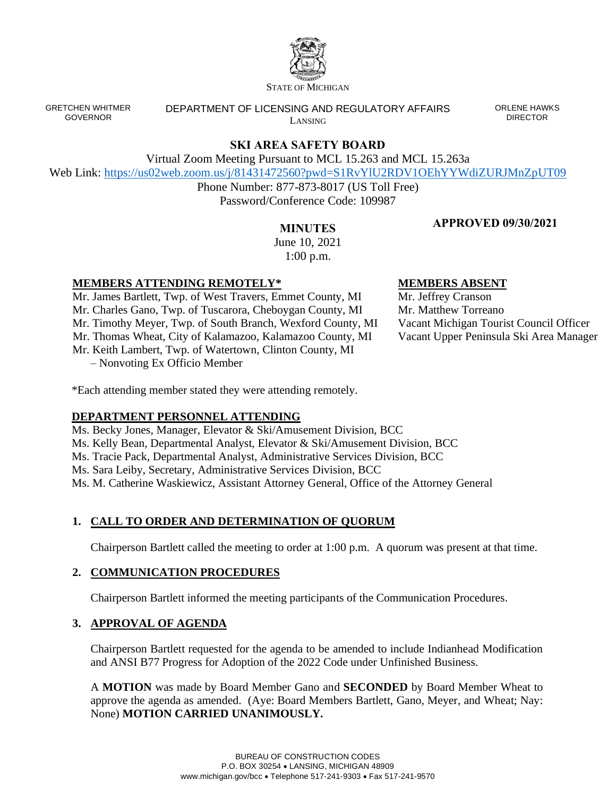

STATE OF MICHIGAN

GRETCHEN WHITMER GOVERNOR

DEPARTMENT OF LICENSING AND REGULATORY AFFAIRS LANSING

ORLENE HAWKS DIRECTOR

# **SKI AREA SAFETY BOARD**

Virtual Zoom Meeting Pursuant to MCL 15.263 and MCL 15.263a

Web Link:<https://us02web.zoom.us/j/81431472560?pwd=S1RvYlU2RDV1OEhYYWdiZURJMnZpUT09>

Phone Number: 877-873-8017 (US Toll Free) Password/Conference Code: 109987

## **APPROVED 09/30/2021**

**MINUTES** June 10, 2021 1:00 p.m.

### **MEMBERS ATTENDING REMOTELY\***

Mr. James Bartlett, Twp. of West Travers, Emmet County, MI Mr. Charles Gano, Twp. of Tuscarora, Cheboygan County, MI Mr. Timothy Meyer, Twp. of South Branch, Wexford County, MI Mr. Thomas Wheat, City of Kalamazoo, Kalamazoo County, MI Mr. Keith Lambert, Twp. of Watertown, Clinton County, MI – Nonvoting Ex Officio Member

**MEMBERS ABSENT**

Mr. Jeffrey Cranson Mr. Matthew Torreano Vacant Michigan Tourist Council Officer Vacant Upper Peninsula Ski Area Manager

\*Each attending member stated they were attending remotely.

### **DEPARTMENT PERSONNEL ATTENDING**

Ms. Becky Jones, Manager, Elevator & Ski/Amusement Division, BCC Ms. Kelly Bean, Departmental Analyst, Elevator & Ski/Amusement Division, BCC Ms. Tracie Pack, Departmental Analyst, Administrative Services Division, BCC Ms. Sara Leiby, Secretary, Administrative Services Division, BCC Ms. M. Catherine Waskiewicz, Assistant Attorney General, Office of the Attorney General

### **1. CALL TO ORDER AND DETERMINATION OF QUORUM**

Chairperson Bartlett called the meeting to order at 1:00 p.m. A quorum was present at that time.

### **2. COMMUNICATION PROCEDURES**

Chairperson Bartlett informed the meeting participants of the Communication Procedures.

### **3. APPROVAL OF AGENDA**

Chairperson Bartlett requested for the agenda to be amended to include Indianhead Modification and ANSI B77 Progress for Adoption of the 2022 Code under Unfinished Business.

A **MOTION** was made by Board Member Gano and **SECONDED** by Board Member Wheat to approve the agenda as amended. (Aye: Board Members Bartlett, Gano, Meyer, and Wheat; Nay: None) **MOTION CARRIED UNANIMOUSLY.**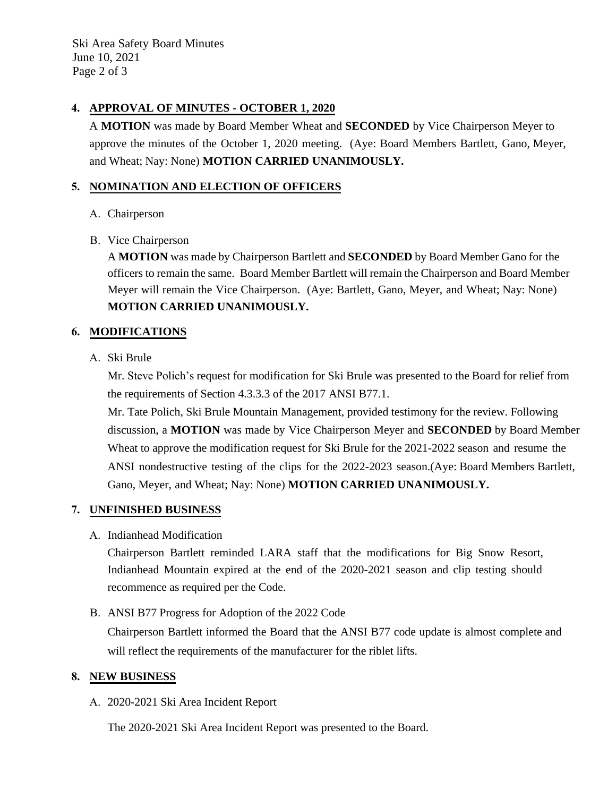Ski Area Safety Board Minutes June 10, 2021 Page 2 of 3

### **4. APPROVAL OF MINUTES - OCTOBER 1, 2020**

A **MOTION** was made by Board Member Wheat and **SECONDED** by Vice Chairperson Meyer to approve the minutes of the October 1, 2020 meeting. (Aye: Board Members Bartlett, Gano, Meyer, and Wheat; Nay: None) **MOTION CARRIED UNANIMOUSLY.**

### **5. NOMINATION AND ELECTION OF OFFICERS**

A. Chairperson

#### B. Vice Chairperson

A **MOTION** was made by Chairperson Bartlett and **SECONDED** by Board Member Gano for the officers to remain the same. Board Member Bartlett will remain the Chairperson and Board Member Meyer will remain the Vice Chairperson. (Aye: Bartlett, Gano, Meyer, and Wheat; Nay: None) **MOTION CARRIED UNANIMOUSLY.**

### **6. MODIFICATIONS**

A. Ski Brule

Mr. Steve Polich's request for modification for Ski Brule was presented to the Board for relief from the requirements of Section 4.3.3.3 of the 2017 ANSI B77.1.

Mr. Tate Polich, Ski Brule Mountain Management, provided testimony for the review. Following discussion, a **MOTION** was made by Vice Chairperson Meyer and **SECONDED** by Board Member Wheat to approve the modification request for Ski Brule for the 2021-2022 season and resume the ANSI nondestructive testing of the clips for the 2022-2023 season.(Aye: Board Members Bartlett, Gano, Meyer, and Wheat; Nay: None) **MOTION CARRIED UNANIMOUSLY.**

#### **7. UNFINISHED BUSINESS**

A. Indianhead Modification

Chairperson Bartlett reminded LARA staff that the modifications for Big Snow Resort, Indianhead Mountain expired at the end of the 2020-2021 season and clip testing should recommence as required per the Code.

B. ANSI B77 Progress for Adoption of the 2022 Code

Chairperson Bartlett informed the Board that the ANSI B77 code update is almost complete and will reflect the requirements of the manufacturer for the riblet lifts.

#### **8. NEW BUSINESS**

A. 2020-2021 Ski Area Incident Report

The 2020-2021 Ski Area Incident Report was presented to the Board.